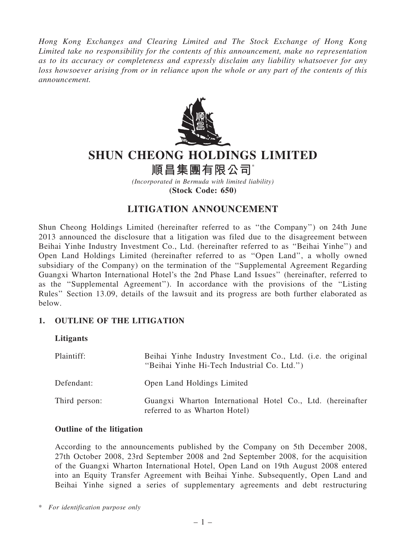Hong Kong Exchanges and Clearing Limited and The Stock Exchange of Hong Kong Limited take no responsibility for the contents of this announcement, make no representation as to its accuracy or completeness and expressly disclaim any liability whatsoever for any loss howsoever arising from or in reliance upon the whole or any part of the contents of this announcement.



# SHUN CHEONG HOLDINGS LIMITED

順昌集團有限公司\*

(Incorporated in Bermuda with limited liability) (Stock Code: 650)

# LITIGATION ANNOUNCEMENT

Shun Cheong Holdings Limited (hereinafter referred to as ''the Company'') on 24th June 2013 announced the disclosure that a litigation was filed due to the disagreement between Beihai Yinhe Industry Investment Co., Ltd. (hereinafter referred to as ''Beihai Yinhe'') and Open Land Holdings Limited (hereinafter referred to as ''Open Land'', a wholly owned subsidiary of the Company) on the termination of the ''Supplemental Agreement Regarding Guangxi Wharton International Hotel's the 2nd Phase Land Issues'' (hereinafter, referred to as the ''Supplemental Agreement''). In accordance with the provisions of the ''Listing Rules'' Section 13.09, details of the lawsuit and its progress are both further elaborated as below.

# 1. OUTLINE OF THE LITIGATION

# Litigants

| Plaintiff:    | Beihai Yinhe Industry Investment Co., Ltd. (i.e. the original<br>"Beihai Yinhe Hi-Tech Industrial Co. Ltd.") |
|---------------|--------------------------------------------------------------------------------------------------------------|
| Defendant:    | Open Land Holdings Limited                                                                                   |
| Third person: | Guangxi Wharton International Hotel Co., Ltd. (hereinafter<br>referred to as Wharton Hotel)                  |

# Outline of the litigation

According to the announcements published by the Company on 5th December 2008, 27th October 2008, 23rd September 2008 and 2nd September 2008, for the acquisition of the Guangxi Wharton International Hotel, Open Land on 19th August 2008 entered into an Equity Transfer Agreement with Beihai Yinhe. Subsequently, Open Land and Beihai Yinhe signed a series of supplementary agreements and debt restructuring

\* For identification purpose only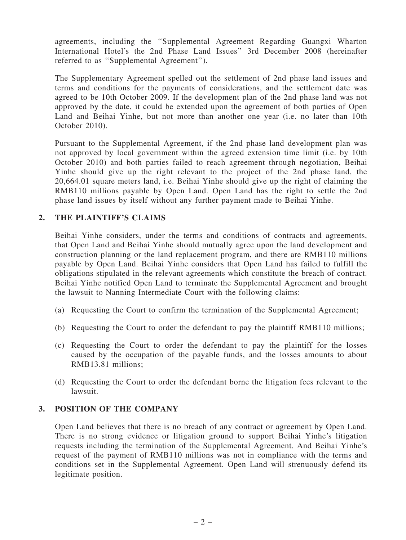agreements, including the ''Supplemental Agreement Regarding Guangxi Wharton International Hotel's the 2nd Phase Land Issues'' 3rd December 2008 (hereinafter referred to as ''Supplemental Agreement'').

The Supplementary Agreement spelled out the settlement of 2nd phase land issues and terms and conditions for the payments of considerations, and the settlement date was agreed to be 10th October 2009. If the development plan of the 2nd phase land was not approved by the date, it could be extended upon the agreement of both parties of Open Land and Beihai Yinhe, but not more than another one year (i.e. no later than 10th October 2010).

Pursuant to the Supplemental Agreement, if the 2nd phase land development plan was not approved by local government within the agreed extension time limit (i.e. by 10th October 2010) and both parties failed to reach agreement through negotiation, Beihai Yinhe should give up the right relevant to the project of the 2nd phase land, the 20,664.01 square meters land, i.e. Beihai Yinhe should give up the right of claiming the RMB110 millions payable by Open Land. Open Land has the right to settle the 2nd phase land issues by itself without any further payment made to Beihai Yinhe.

# 2. THE PLAINTIFF'S CLAIMS

Beihai Yinhe considers, under the terms and conditions of contracts and agreements, that Open Land and Beihai Yinhe should mutually agree upon the land development and construction planning or the land replacement program, and there are RMB110 millions payable by Open Land. Beihai Yinhe considers that Open Land has failed to fulfill the obligations stipulated in the relevant agreements which constitute the breach of contract. Beihai Yinhe notified Open Land to terminate the Supplemental Agreement and brought the lawsuit to Nanning Intermediate Court with the following claims:

- (a) Requesting the Court to confirm the termination of the Supplemental Agreement;
- (b) Requesting the Court to order the defendant to pay the plaintiff RMB110 millions;
- (c) Requesting the Court to order the defendant to pay the plaintiff for the losses caused by the occupation of the payable funds, and the losses amounts to about RMB13.81 millions;
- (d) Requesting the Court to order the defendant borne the litigation fees relevant to the lawsuit.

#### 3. POSITION OF THE COMPANY

Open Land believes that there is no breach of any contract or agreement by Open Land. There is no strong evidence or litigation ground to support Beihai Yinhe's litigation requests including the termination of the Supplemental Agreement. And Beihai Yinhe's request of the payment of RMB110 millions was not in compliance with the terms and conditions set in the Supplemental Agreement. Open Land will strenuously defend its legitimate position.